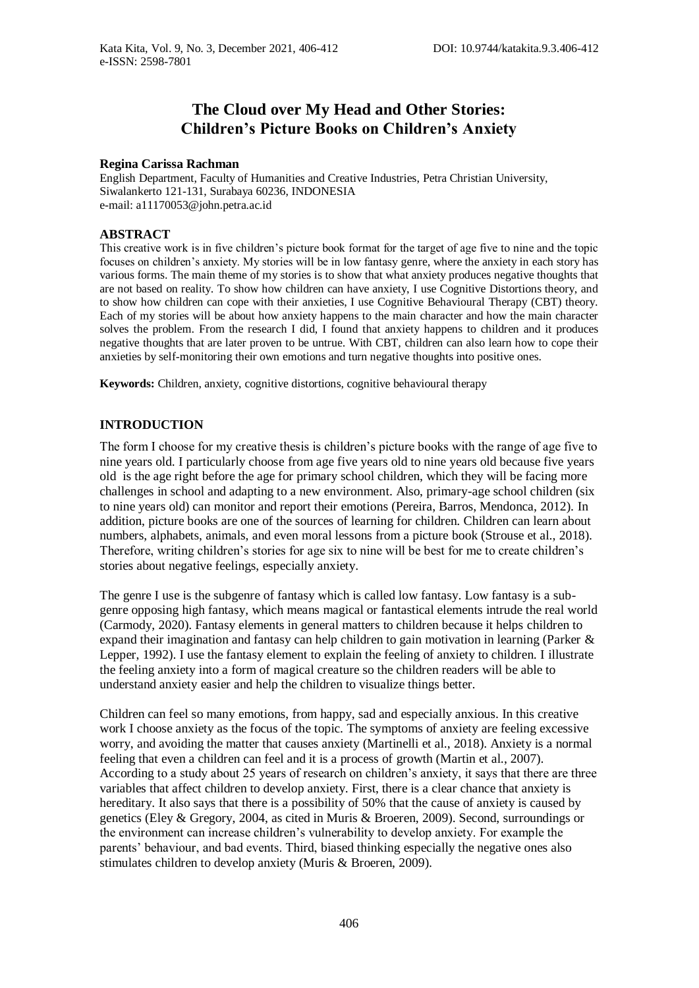# **The Cloud over My Head and Other Stories: Children's Picture Books on Children's Anxiety**

#### **Regina Carissa Rachman**

English Department, Faculty of Humanities and Creative Industries, Petra Christian University, Siwalankerto 121-131, Surabaya 60236, INDONESIA e-mail: a11170053@john.petra.ac.id

#### **ABSTRACT**

This creative work is in five children's picture book format for the target of age five to nine and the topic focuses on children's anxiety. My stories will be in low fantasy genre, where the anxiety in each story has various forms. The main theme of my stories is to show that what anxiety produces negative thoughts that are not based on reality. To show how children can have anxiety, I use Cognitive Distortions theory, and to show how children can cope with their anxieties, I use Cognitive Behavioural Therapy (CBT) theory. Each of my stories will be about how anxiety happens to the main character and how the main character solves the problem. From the research I did, I found that anxiety happens to children and it produces negative thoughts that are later proven to be untrue. With CBT, children can also learn how to cope their anxieties by self-monitoring their own emotions and turn negative thoughts into positive ones.

**Keywords:** Children, anxiety, cognitive distortions, cognitive behavioural therapy

#### **INTRODUCTION**

The form I choose for my creative thesis is children's picture books with the range of age five to nine years old. I particularly choose from age five years old to nine years old because five years old is the age right before the age for primary school children, which they will be facing more challenges in school and adapting to a new environment. Also, primary-age school children (six to nine years old) can monitor and report their emotions (Pereira, Barros, Mendonca, 2012). In addition, picture books are one of the sources of learning for children. Children can learn about numbers, alphabets, animals, and even moral lessons from a picture book (Strouse et al., 2018). Therefore, writing children's stories for age six to nine will be best for me to create children's stories about negative feelings, especially anxiety.

The genre I use is the subgenre of fantasy which is called low fantasy. Low fantasy is a subgenre opposing high fantasy, which means magical or fantastical elements intrude the real world (Carmody, 2020). Fantasy elements in general matters to children because it helps children to expand their imagination and fantasy can help children to gain motivation in learning (Parker & Lepper, 1992). I use the fantasy element to explain the feeling of anxiety to children. I illustrate the feeling anxiety into a form of magical creature so the children readers will be able to understand anxiety easier and help the children to visualize things better.

Children can feel so many emotions, from happy, sad and especially anxious. In this creative work I choose anxiety as the focus of the topic. The symptoms of anxiety are feeling excessive worry, and avoiding the matter that causes anxiety (Martinelli et al., 2018). Anxiety is a normal feeling that even a children can feel and it is a process of growth (Martin et al., 2007). According to a study about 25 years of research on children's anxiety, it says that there are three variables that affect children to develop anxiety. First, there is a clear chance that anxiety is hereditary. It also says that there is a possibility of 50% that the cause of anxiety is caused by genetics (Eley & Gregory, 2004, as cited in Muris & Broeren, 2009). Second, surroundings or the environment can increase children's vulnerability to develop anxiety. For example the parents' behaviour, and bad events. Third, biased thinking especially the negative ones also stimulates children to develop anxiety (Muris & Broeren, 2009).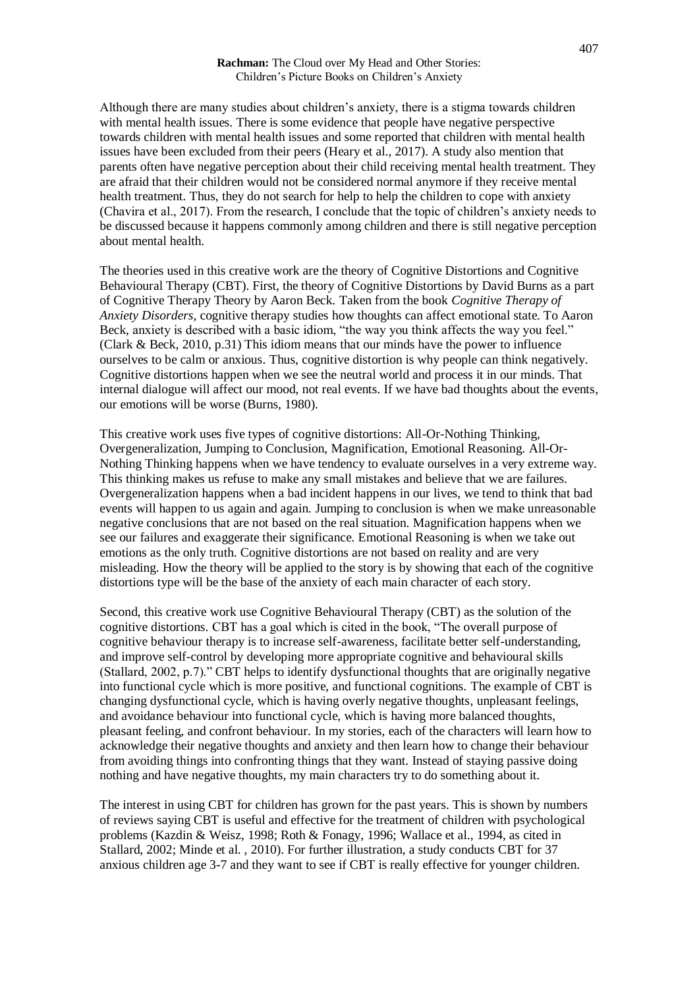#### **Rachman:** The Cloud over My Head and Other Stories: Children's Picture Books on Children's Anxiety

Although there are many studies about children's anxiety, there is a stigma towards children with mental health issues. There is some evidence that people have negative perspective towards children with mental health issues and some reported that children with mental health issues have been excluded from their peers (Heary et al., 2017). A study also mention that parents often have negative perception about their child receiving mental health treatment. They are afraid that their children would not be considered normal anymore if they receive mental health treatment. Thus, they do not search for help to help the children to cope with anxiety (Chavira et al., 2017). From the research, I conclude that the topic of children's anxiety needs to be discussed because it happens commonly among children and there is still negative perception about mental health.

The theories used in this creative work are the theory of Cognitive Distortions and Cognitive Behavioural Therapy (CBT). First, the theory of Cognitive Distortions by David Burns as a part of Cognitive Therapy Theory by Aaron Beck. Taken from the book *Cognitive Therapy of Anxiety Disorders,* cognitive therapy studies how thoughts can affect emotional state. To Aaron Beck, anxiety is described with a basic idiom, "the way you think affects the way you feel." (Clark & Beck, 2010, p.31) This idiom means that our minds have the power to influence ourselves to be calm or anxious. Thus, cognitive distortion is why people can think negatively. Cognitive distortions happen when we see the neutral world and process it in our minds. That internal dialogue will affect our mood, not real events. If we have bad thoughts about the events, our emotions will be worse (Burns, 1980).

This creative work uses five types of cognitive distortions: All-Or-Nothing Thinking, Overgeneralization, Jumping to Conclusion, Magnification, Emotional Reasoning. All-Or-Nothing Thinking happens when we have tendency to evaluate ourselves in a very extreme way. This thinking makes us refuse to make any small mistakes and believe that we are failures. Overgeneralization happens when a bad incident happens in our lives, we tend to think that bad events will happen to us again and again. Jumping to conclusion is when we make unreasonable negative conclusions that are not based on the real situation. Magnification happens when we see our failures and exaggerate their significance. Emotional Reasoning is when we take out emotions as the only truth. Cognitive distortions are not based on reality and are very misleading. How the theory will be applied to the story is by showing that each of the cognitive distortions type will be the base of the anxiety of each main character of each story.

Second, this creative work use Cognitive Behavioural Therapy (CBT) as the solution of the cognitive distortions. CBT has a goal which is cited in the book, "The overall purpose of cognitive behaviour therapy is to increase self-awareness, facilitate better self-understanding, and improve self-control by developing more appropriate cognitive and behavioural skills (Stallard, 2002, p.7)." CBT helps to identify dysfunctional thoughts that are originally negative into functional cycle which is more positive, and functional cognitions. The example of CBT is changing dysfunctional cycle, which is having overly negative thoughts, unpleasant feelings, and avoidance behaviour into functional cycle, which is having more balanced thoughts, pleasant feeling, and confront behaviour. In my stories, each of the characters will learn how to acknowledge their negative thoughts and anxiety and then learn how to change their behaviour from avoiding things into confronting things that they want. Instead of staying passive doing nothing and have negative thoughts, my main characters try to do something about it.

The interest in using CBT for children has grown for the past years. This is shown by numbers of reviews saying CBT is useful and effective for the treatment of children with psychological problems (Kazdin & Weisz, 1998; Roth & Fonagy, 1996; Wallace et al., 1994, as cited in Stallard, 2002; Minde et al. , 2010). For further illustration, a study conducts CBT for 37 anxious children age 3-7 and they want to see if CBT is really effective for younger children.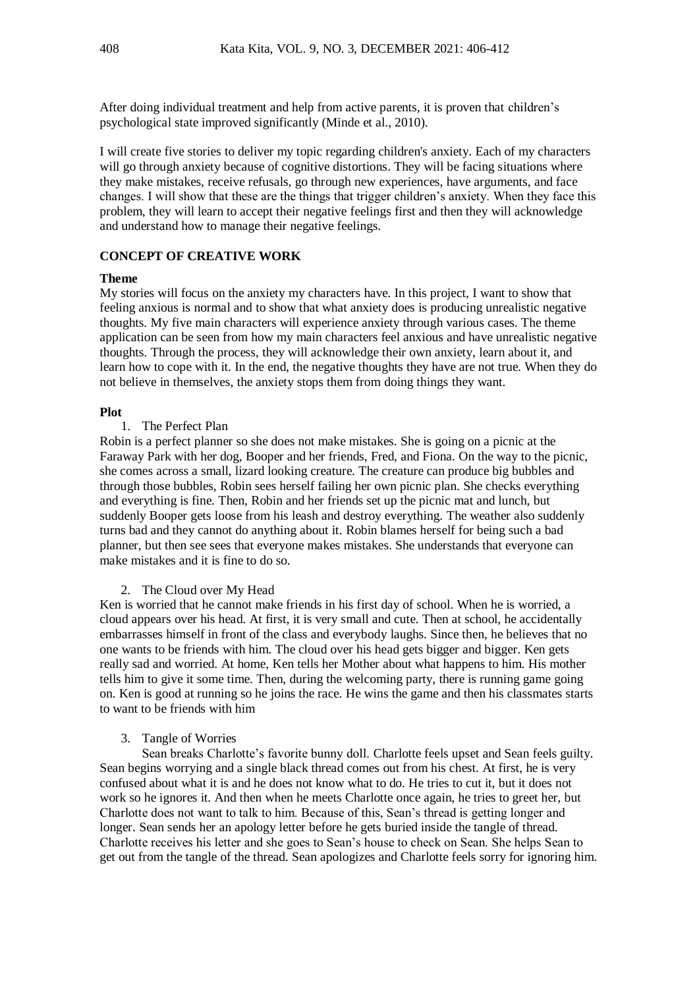After doing individual treatment and help from active parents, it is proven that children's psychological state improved significantly (Minde et al., 2010).

I will create five stories to deliver my topic regarding children's anxiety. Each of my characters will go through anxiety because of cognitive distortions. They will be facing situations where they make mistakes, receive refusals, go through new experiences, have arguments, and face changes. I will show that these are the things that trigger children's anxiety. When they face this problem, they will learn to accept their negative feelings first and then they will acknowledge and understand how to manage their negative feelings.

### **CONCEPT OF CREATIVE WORK**

#### **Theme**

My stories will focus on the anxiety my characters have. In this project, I want to show that feeling anxious is normal and to show that what anxiety does is producing unrealistic negative thoughts. My five main characters will experience anxiety through various cases. The theme application can be seen from how my main characters feel anxious and have unrealistic negative thoughts. Through the process, they will acknowledge their own anxiety, learn about it, and learn how to cope with it. In the end, the negative thoughts they have are not true. When they do not believe in themselves, the anxiety stops them from doing things they want.

#### **Plot**

#### 1. The Perfect Plan

Robin is a perfect planner so she does not make mistakes. She is going on a picnic at the Faraway Park with her dog, Booper and her friends, Fred, and Fiona. On the way to the picnic, she comes across a small, lizard looking creature. The creature can produce big bubbles and through those bubbles, Robin sees herself failing her own picnic plan. She checks everything and everything is fine. Then, Robin and her friends set up the picnic mat and lunch, but suddenly Booper gets loose from his leash and destroy everything. The weather also suddenly turns bad and they cannot do anything about it. Robin blames herself for being such a bad planner, but then see sees that everyone makes mistakes. She understands that everyone can make mistakes and it is fine to do so.

#### 2. The Cloud over My Head

Ken is worried that he cannot make friends in his first day of school. When he is worried, a cloud appears over his head. At first, it is very small and cute. Then at school, he accidentally embarrasses himself in front of the class and everybody laughs. Since then, he believes that no one wants to be friends with him. The cloud over his head gets bigger and bigger. Ken gets really sad and worried. At home, Ken tells her Mother about what happens to him. His mother tells him to give it some time. Then, during the welcoming party, there is running game going on. Ken is good at running so he joins the race. He wins the game and then his classmates starts to want to be friends with him

#### 3. Tangle of Worries

Sean breaks Charlotte's favorite bunny doll. Charlotte feels upset and Sean feels guilty. Sean begins worrying and a single black thread comes out from his chest. At first, he is very confused about what it is and he does not know what to do. He tries to cut it, but it does not work so he ignores it. And then when he meets Charlotte once again, he tries to greet her, but Charlotte does not want to talk to him. Because of this, Sean's thread is getting longer and longer. Sean sends her an apology letter before he gets buried inside the tangle of thread. Charlotte receives his letter and she goes to Sean's house to check on Sean. She helps Sean to get out from the tangle of the thread. Sean apologizes and Charlotte feels sorry for ignoring him.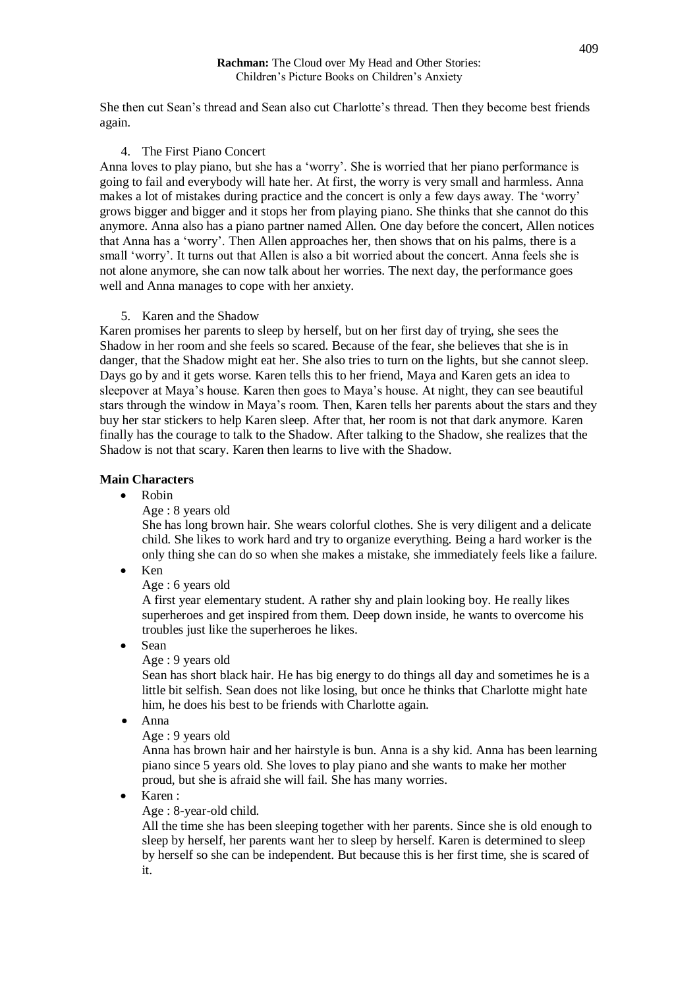#### **Rachman:** The Cloud over My Head and Other Stories: Children's Picture Books on Children's Anxiety

She then cut Sean's thread and Sean also cut Charlotte's thread. Then they become best friends again.

### 4. The First Piano Concert

Anna loves to play piano, but she has a 'worry'. She is worried that her piano performance is going to fail and everybody will hate her. At first, the worry is very small and harmless. Anna makes a lot of mistakes during practice and the concert is only a few days away. The 'worry' grows bigger and bigger and it stops her from playing piano. She thinks that she cannot do this anymore. Anna also has a piano partner named Allen. One day before the concert, Allen notices that Anna has a 'worry'. Then Allen approaches her, then shows that on his palms, there is a small 'worry'. It turns out that Allen is also a bit worried about the concert. Anna feels she is not alone anymore, she can now talk about her worries. The next day, the performance goes well and Anna manages to cope with her anxiety.

### 5. Karen and the Shadow

Karen promises her parents to sleep by herself, but on her first day of trying, she sees the Shadow in her room and she feels so scared. Because of the fear, she believes that she is in danger, that the Shadow might eat her. She also tries to turn on the lights, but she cannot sleep. Days go by and it gets worse. Karen tells this to her friend, Maya and Karen gets an idea to sleepover at Maya's house. Karen then goes to Maya's house. At night, they can see beautiful stars through the window in Maya's room. Then, Karen tells her parents about the stars and they buy her star stickers to help Karen sleep. After that, her room is not that dark anymore. Karen finally has the courage to talk to the Shadow. After talking to the Shadow, she realizes that the Shadow is not that scary. Karen then learns to live with the Shadow.

### **Main Characters**

- Robin
	- Age : 8 years old

She has long brown hair. She wears colorful clothes. She is very diligent and a delicate child. She likes to work hard and try to organize everything. Being a hard worker is the only thing she can do so when she makes a mistake, she immediately feels like a failure.

 $\bullet$  Ken

### Age : 6 years old

A first year elementary student. A rather shy and plain looking boy. He really likes superheroes and get inspired from them. Deep down inside, he wants to overcome his troubles just like the superheroes he likes.

- Sean
	- Age : 9 years old

Sean has short black hair. He has big energy to do things all day and sometimes he is a little bit selfish. Sean does not like losing, but once he thinks that Charlotte might hate him, he does his best to be friends with Charlotte again.

- Anna
	- Age : 9 years old

Anna has brown hair and her hairstyle is bun. Anna is a shy kid. Anna has been learning piano since 5 years old. She loves to play piano and she wants to make her mother proud, but she is afraid she will fail. She has many worries.

Karen :

### Age : 8-year-old child.

All the time she has been sleeping together with her parents. Since she is old enough to sleep by herself, her parents want her to sleep by herself. Karen is determined to sleep by herself so she can be independent. But because this is her first time, she is scared of it.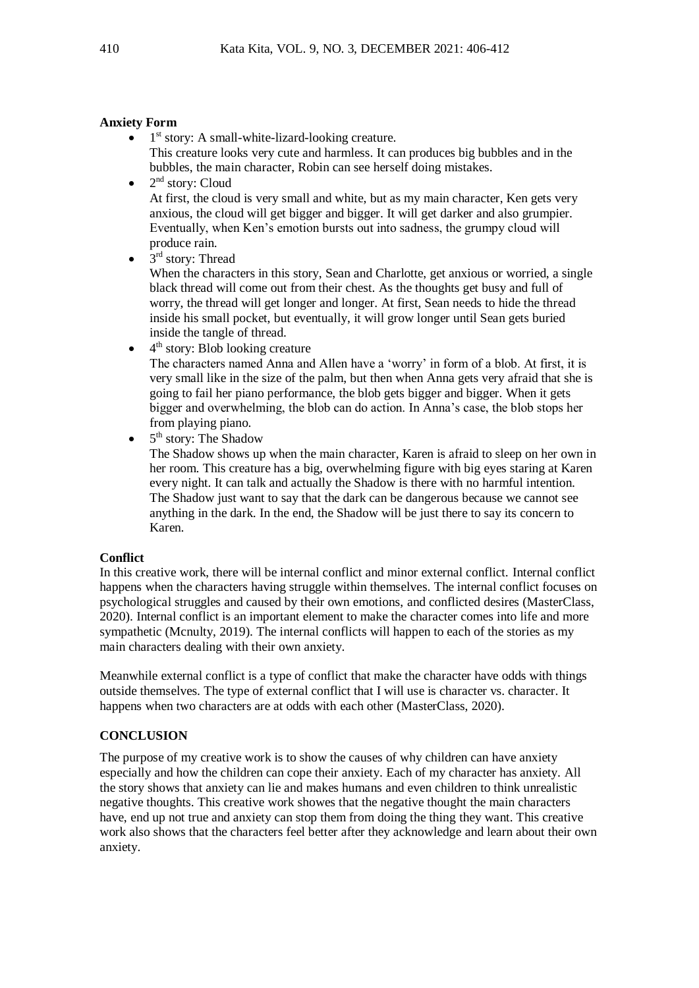### **Anxiety Form**

- $\bullet$  1<sup>st</sup> story: A small-white-lizard-looking creature. This creature looks very cute and harmless. It can produces big bubbles and in the bubbles, the main character, Robin can see herself doing mistakes.
- $\bullet$  $2<sup>nd</sup>$  story: Cloud At first, the cloud is very small and white, but as my main character, Ken gets very anxious, the cloud will get bigger and bigger. It will get darker and also grumpier. Eventually, when Ken's emotion bursts out into sadness, the grumpy cloud will produce rain.
- $\bullet$  3<sup>rd</sup> story: Thread

When the characters in this story, Sean and Charlotte, get anxious or worried, a single black thread will come out from their chest. As the thoughts get busy and full of worry, the thread will get longer and longer. At first, Sean needs to hide the thread inside his small pocket, but eventually, it will grow longer until Sean gets buried inside the tangle of thread.

 $\bullet$  4<sup>th</sup> story: Blob looking creature

The characters named Anna and Allen have a 'worry' in form of a blob. At first, it is very small like in the size of the palm, but then when Anna gets very afraid that she is going to fail her piano performance, the blob gets bigger and bigger. When it gets bigger and overwhelming, the blob can do action. In Anna's case, the blob stops her from playing piano.

 $\bullet$  5<sup>th</sup> story: The Shadow

The Shadow shows up when the main character, Karen is afraid to sleep on her own in her room. This creature has a big, overwhelming figure with big eyes staring at Karen every night. It can talk and actually the Shadow is there with no harmful intention. The Shadow just want to say that the dark can be dangerous because we cannot see anything in the dark. In the end, the Shadow will be just there to say its concern to Karen.

### **Conflict**

In this creative work, there will be internal conflict and minor external conflict. Internal conflict happens when the characters having struggle within themselves. The internal conflict focuses on psychological struggles and caused by their own emotions, and conflicted desires (MasterClass, 2020). Internal conflict is an important element to make the character comes into life and more sympathetic (Mcnulty, 2019). The internal conflicts will happen to each of the stories as my main characters dealing with their own anxiety.

Meanwhile external conflict is a type of conflict that make the character have odds with things outside themselves. The type of external conflict that I will use is character vs. character. It happens when two characters are at odds with each other (MasterClass, 2020).

## **CONCLUSION**

The purpose of my creative work is to show the causes of why children can have anxiety especially and how the children can cope their anxiety. Each of my character has anxiety. All the story shows that anxiety can lie and makes humans and even children to think unrealistic negative thoughts. This creative work showes that the negative thought the main characters have, end up not true and anxiety can stop them from doing the thing they want. This creative work also shows that the characters feel better after they acknowledge and learn about their own anxiety.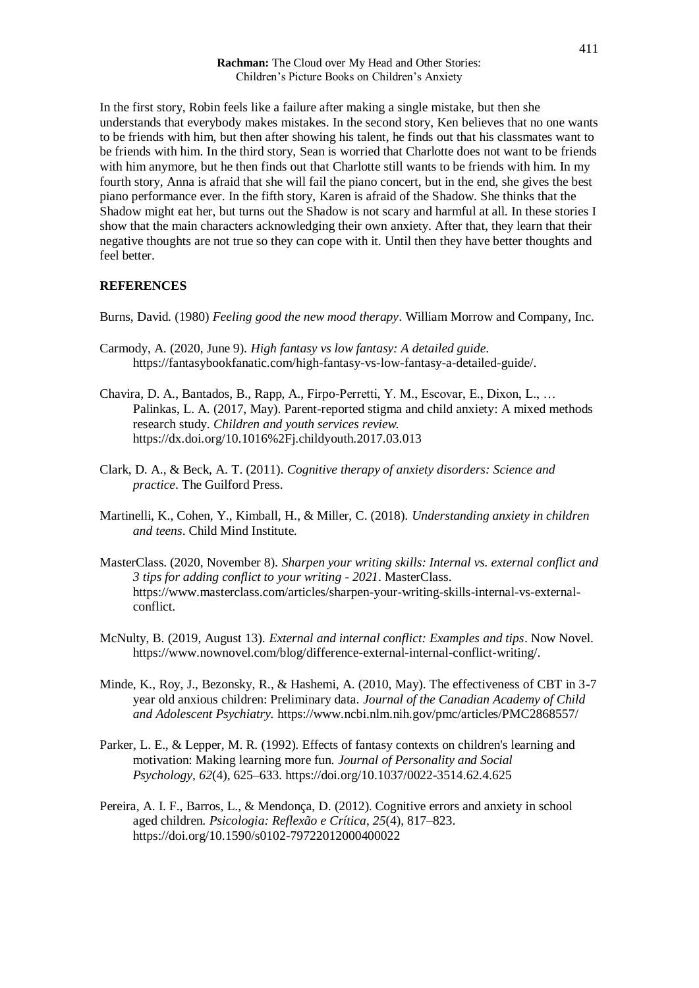**Rachman:** The Cloud over My Head and Other Stories: Children's Picture Books on Children's Anxiety

In the first story, Robin feels like a failure after making a single mistake, but then she understands that everybody makes mistakes. In the second story, Ken believes that no one wants to be friends with him, but then after showing his talent, he finds out that his classmates want to be friends with him. In the third story, Sean is worried that Charlotte does not want to be friends with him anymore, but he then finds out that Charlotte still wants to be friends with him. In my fourth story, Anna is afraid that she will fail the piano concert, but in the end, she gives the best piano performance ever. In the fifth story, Karen is afraid of the Shadow. She thinks that the Shadow might eat her, but turns out the Shadow is not scary and harmful at all. In these stories I show that the main characters acknowledging their own anxiety. After that, they learn that their negative thoughts are not true so they can cope with it. Until then they have better thoughts and feel better.

#### **REFERENCES**

Burns, David. (1980) *Feeling good the new mood therapy*. William Morrow and Company, Inc.

- Carmody, A. (2020, June 9). *High fantasy vs low fantasy: A detailed guide*. https://fantasybookfanatic.com/high-fantasy-vs-low-fantasy-a-detailed-guide/.
- Chavira, D. A., Bantados, B., Rapp, A., Firpo-Perretti, Y. M., Escovar, E., Dixon, L., … Palinkas, L. A. (2017, May). Parent-reported stigma and child anxiety: A mixed methods research study. *Children and youth services review.* https://dx.doi.org/10.1016%2Fj.childyouth.2017.03.013
- Clark, D. A., & Beck, A. T. (2011). *Cognitive therapy of anxiety disorders: Science and practice*. The Guilford Press.
- Martinelli, K., Cohen, Y., Kimball, H., & Miller, C. (2018). *Understanding anxiety in children and teens*. Child Mind Institute.
- MasterClass. (2020, November 8). *Sharpen your writing skills: Internal vs. external conflict and 3 tips for adding conflict to your writing - 2021*. MasterClass. https://www.masterclass.com/articles/sharpen-your-writing-skills-internal-vs-externalconflict.
- McNulty, B. (2019, August 13). *External and internal conflict: Examples and tips*. Now Novel. https://www.nownovel.com/blog/difference-external-internal-conflict-writing/.
- Minde, K., Roy, J., Bezonsky, R., & Hashemi, A. (2010, May). The effectiveness of CBT in 3-7 year old anxious children: Preliminary data. *Journal of the Canadian Academy of Child and Adolescent Psychiatry.* https://www.ncbi.nlm.nih.gov/pmc/articles/PMC2868557/
- Parker, L. E., & Lepper, M. R. (1992). Effects of fantasy contexts on children's learning and motivation: Making learning more fun. *Journal of Personality and Social Psychology*, *62*(4), 625–633. https://doi.org/10.1037/0022-3514.62.4.625
- Pereira, A. I. F., Barros, L., & Mendonça, D. (2012). Cognitive errors and anxiety in school aged children. *Psicologia: Reflexão e Crítica*, *25*(4), 817–823. https://doi.org/10.1590/s0102-79722012000400022